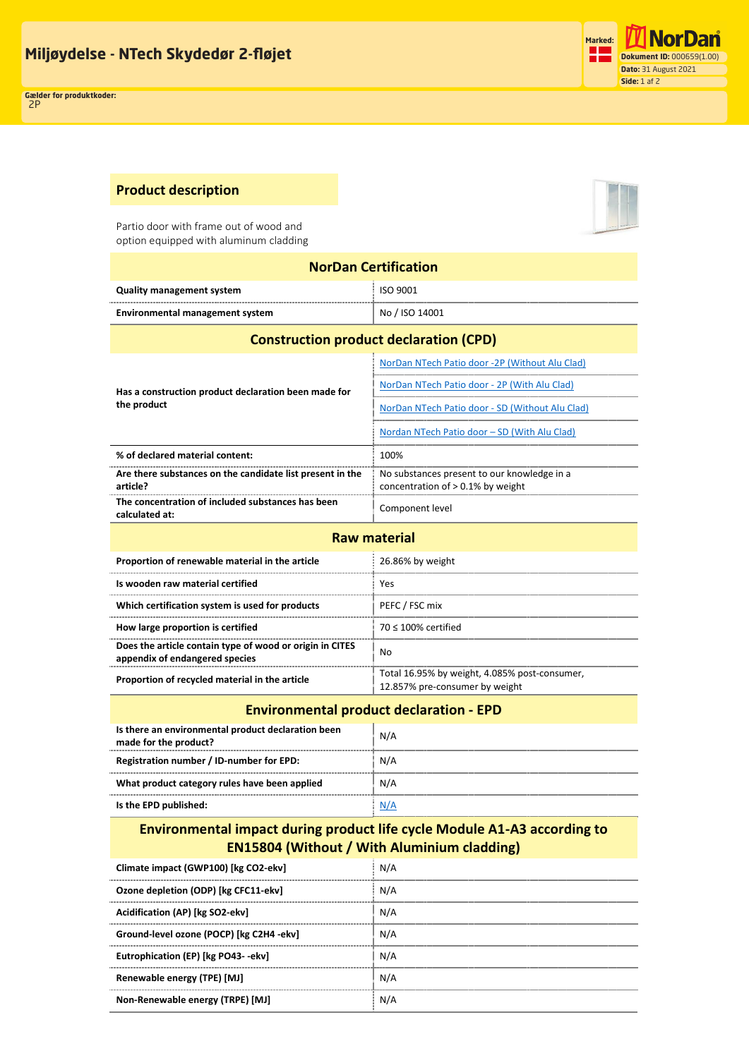

## **Product description**

Partio door with frame out of wood and option equipped with aluminum cladding

**Eutrophication (EP) [kg PO43--ekv]** N/A **Renewable energy (TPE) [MJ]** N/A **Non-Renewable energy (TRPE) [MJ]** N/A

| <b>NorDan Certification</b>                                                                                                    |                                                                                     |  |  |  |
|--------------------------------------------------------------------------------------------------------------------------------|-------------------------------------------------------------------------------------|--|--|--|
| <b>Quality management system</b>                                                                                               | ISO 9001                                                                            |  |  |  |
| <b>Environmental management system</b>                                                                                         | No / ISO 14001                                                                      |  |  |  |
| <b>Construction product declaration (CPD)</b>                                                                                  |                                                                                     |  |  |  |
|                                                                                                                                | NorDan NTech Patio door -2P (Without Alu Clad)                                      |  |  |  |
| Has a construction product declaration been made for<br>the product                                                            | NorDan NTech Patio door - 2P (With Alu Clad)                                        |  |  |  |
|                                                                                                                                | NorDan NTech Patio door - SD (Without Alu Clad)                                     |  |  |  |
|                                                                                                                                | Nordan NTech Patio door – SD (With Alu Clad)                                        |  |  |  |
| % of declared material content:                                                                                                | 100%                                                                                |  |  |  |
| Are there substances on the candidate list present in the<br>article?                                                          | No substances present to our knowledge in a<br>concentration of $> 0.1\%$ by weight |  |  |  |
| The concentration of included substances has been<br>calculated at:                                                            | Component level                                                                     |  |  |  |
| <b>Raw material</b>                                                                                                            |                                                                                     |  |  |  |
| Proportion of renewable material in the article                                                                                | 26.86% by weight                                                                    |  |  |  |
| Is wooden raw material certified                                                                                               | Yes                                                                                 |  |  |  |
| Which certification system is used for products                                                                                | PEFC / FSC mix                                                                      |  |  |  |
| How large proportion is certified                                                                                              | $70 \leq 100\%$ certified                                                           |  |  |  |
| Does the article contain type of wood or origin in CITES<br>appendix of endangered species                                     | No                                                                                  |  |  |  |
| Proportion of recycled material in the article                                                                                 | Total 16.95% by weight, 4.085% post-consumer,<br>12.857% pre-consumer by weight     |  |  |  |
| <b>Environmental product declaration - EPD</b>                                                                                 |                                                                                     |  |  |  |
| Is there an environmental product declaration been<br>made for the product?                                                    | N/A                                                                                 |  |  |  |
| Registration number / ID-number for EPD:                                                                                       | N/A                                                                                 |  |  |  |
| What product category rules have been applied                                                                                  | N/A                                                                                 |  |  |  |
| Is the EPD published:                                                                                                          | N/A                                                                                 |  |  |  |
| Environmental impact during product life cycle Module A1-A3 according to<br><b>EN15804 (Without / With Aluminium cladding)</b> |                                                                                     |  |  |  |
| Climate impact (GWP100) [kg CO2-ekv]                                                                                           | N/A                                                                                 |  |  |  |
| Ozone depletion (ODP) [kg CFC11-ekv]                                                                                           | N/A                                                                                 |  |  |  |
| Acidification (AP) [kg SO2-ekv]                                                                                                | N/A                                                                                 |  |  |  |
| Ground-level ozone (POCP) [kg C2H4 -ekv]                                                                                       | N/A                                                                                 |  |  |  |